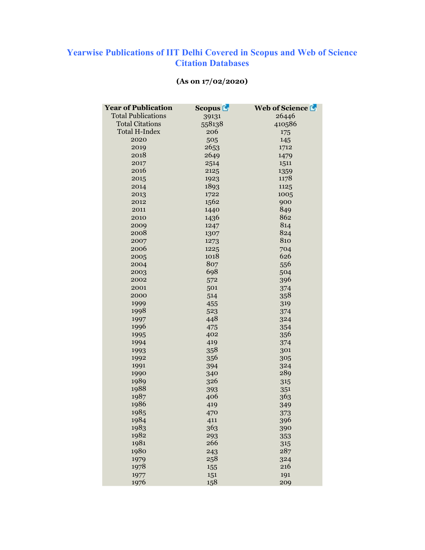## Yearwise Publications of IIT Delhi Covered in Scopus and Web of Science Citation Databases

| <b>Year of Publication</b> | <b>Scopus</b> | Web of Science |
|----------------------------|---------------|----------------|
| <b>Total Publications</b>  | 39131         | 26446          |
| <b>Total Citations</b>     | 558138        | 410586         |
| <b>Total H-Index</b>       | 206           | 175            |
| 2020                       | 505           | 145            |
| 2019                       | 2653          | 1712           |
| 2018                       | 2649          | 1479           |
| 2017                       | 2514          | 1511           |
| 2016                       | 2125          | 1359           |
| 2015                       | 1923          | 1178           |
| 2014                       | 1893          | 1125           |
| 2013                       | 1722          | 1005           |
| 2012                       | 1562          | 900            |
| 2011                       | 1440          | 849            |
| 2010                       | 1436          | 862            |
| 2009                       | 1247          | 814            |
| 2008                       | 1307          | 824            |
| 2007                       | 1273          | 810            |
| 2006                       | 1225          | 704            |
| 2005                       | 1018          | 626            |
| 2004                       | 807           | 556            |
| 2003                       | 698           | 504            |
| 2002                       | 572           | 396            |
| 2001                       | 501           | 374            |
| 2000                       | 514           | 358            |
| 1999                       | 455           | 319            |
| 1998                       | 523           | 374            |
| 1997                       | 448           | 324            |
| 1996                       | 475           | 354            |
| 1995                       | 402           | 356            |
| 1994                       | 419           | 374            |
| 1993                       | 358           | 301            |
| 1992                       | 356           | 305            |
| 1991                       | 394           | 324            |
| 1990                       | 340           | 289            |
| 1989                       | 326           | 315            |
| 1988                       | 393           | 351            |
| 1987                       | 406           | 363            |
| 1986                       | 419           | 349            |
| 1985                       | 470           | 373            |
| 1984                       | 411           | 396            |
| 1983                       | 363           | 390            |
| 1982                       | 293           | 353            |
| 1981                       | 266           | 315            |
| 1980                       | 243           | 287            |
| 1979                       | 258           | 324            |
| 1978                       | 155           | 216            |
| 1977                       | 151           | 191            |
| 1976                       | 158           | 209            |

## (As on 17/02/2020)